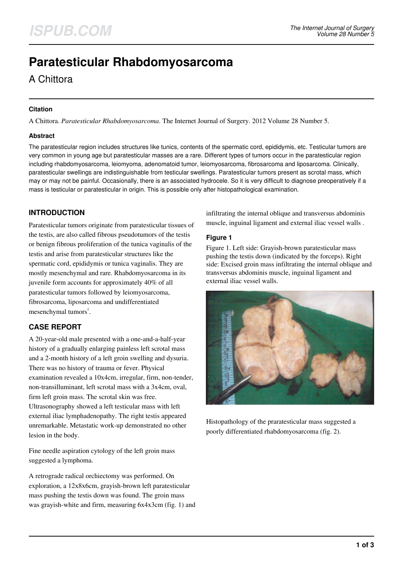# **Paratesticular Rhabdomyosarcoma**

# A Chittora

#### **Citation**

A Chittora. *Paratesticular Rhabdomyosarcoma*. The Internet Journal of Surgery. 2012 Volume 28 Number 5.

#### **Abstract**

The paratesticular region includes structures like tunics, contents of the spermatic cord, epididymis, etc. Testicular tumors are very common in young age but paratesticular masses are a rare. Different types of tumors occur in the paratesticular region including rhabdomyosarcoma, leiomyoma, adenomatoid tumor, leiomyosarcoma, fibrosarcoma and liposarcoma. Clinically, paratesticular swellings are indistinguishable from testicular swellings. Paratesticular tumors present as scrotal mass, which may or may not be painful. Occasionally, there is an associated hydrocele. So it is very difficult to diagnose preoperatively if a mass is testicular or paratesticular in origin. This is possible only after histopathological examination.

# **INTRODUCTION**

Paratesticular tumors originate from paratesticular tissues of the testis, are also called fibrous pseudotumors of the testis or benign fibrous proliferation of the tunica vaginalis of the testis and arise from paratesticular structures like the spermatic cord, epididymis or tunica vaginalis. They are mostly mesenchymal and rare. Rhabdomyosarcoma in its juvenile form accounts for approximately 40% of all paratesticular tumors followed by leiomyosarcoma, fibrosarcoma, liposarcoma and undifferentiated mesenchymal tumors<sup>1</sup>.

# **CASE REPORT**

A 20-year-old male presented with a one-and-a-half-year history of a gradually enlarging painless left scrotal mass and a 2-month history of a left groin swelling and dysuria. There was no history of trauma or fever. Physical examination revealed a 10x4cm, irregular, firm, non-tender, non-transilluminant, left scrotal mass with a 3x4cm, oval, firm left groin mass. The scrotal skin was free. Ultrasonography showed a left testicular mass with left external iliac lymphadenopathy. The right testis appeared unremarkable. Metastatic work-up demonstrated no other lesion in the body.

Fine needle aspiration cytology of the left groin mass suggested a lymphoma.

A retrograde radical orchiectomy was performed. On exploration, a 12x8x6cm, grayish-brown left paratesticular mass pushing the testis down was found. The groin mass was grayish-white and firm, measuring 6x4x3cm (fig. 1) and infiltrating the internal oblique and transversus abdominis muscle, inguinal ligament and external iliac vessel walls .

#### **Figure 1**

Figure 1. Left side: Grayish-brown paratesticular mass pushing the testis down (indicated by the forceps). Right side: Excised groin mass infiltrating the internal oblique and transversus abdominis muscle, inguinal ligament and external iliac vessel walls.



Histopathology of the praratesticular mass suggested a poorly differentiated rhabdomyosarcoma (fig. 2).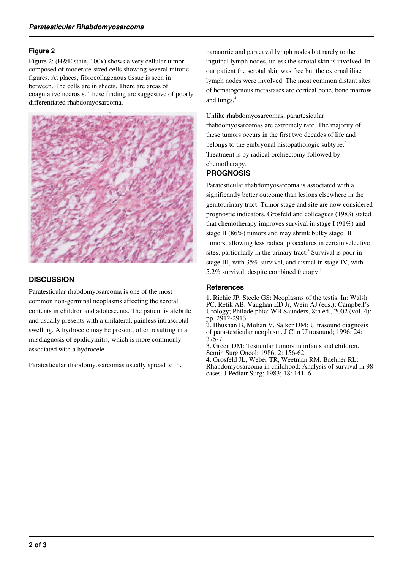#### **Figure 2**

Figure 2: (H&E stain, 100x) shows a very cellular tumor, composed of moderate-sized cells showing several mitotic figures. At places, fibrocollagenous tissue is seen in between. The cells are in sheets. There are areas of coagulative necrosis. These finding are suggestive of poorly differentiated rhabdomyosarcoma.



#### **DISCUSSION**

Paratesticular rhabdomyosarcoma is one of the most common non-germinal neoplasms affecting the scrotal contents in children and adolescents. The patient is afebrile and usually presents with a unilateral, painless intrascrotal swelling. A hydrocele may be present, often resulting in a misdiagnosis of epididymitis, which is more commonly associated with a hydrocele.

Paratesticular rhabdomyosarcomas usually spread to the

paraaortic and paracaval lymph nodes but rarely to the inguinal lymph nodes, unless the scrotal skin is involved. In our patient the scrotal skin was free but the external iliac lymph nodes were involved. The most common distant sites of hematogenous metastases are cortical bone, bone marrow and lungs.<sup>2</sup>

Unlike rhabdomyosarcomas, parartesicular rhabdomyosarcomas are extremely rare. The majority of these tumors occurs in the first two decades of life and belongs to the embryonal histopathologic subtype.<sup>3</sup> Treatment is by radical orchiectomy followed by chemotherapy.

### **PROGNOSIS**

Paratesticular rhabdomyosarcoma is associated with a significantly better outcome than lesions elsewhere in the genitourinary tract. Tumor stage and site are now considered prognostic indicators. Grosfeld and colleagues (1983) stated that chemotherapy improves survival in stage I (91%) and stage II (86%) tumors and may shrink bulky stage III tumors, allowing less radical procedures in certain selective sites, particularly in the urinary tract.<sup>4</sup> Survival is poor in stage III, with 35% survival, and dismal in stage IV, with 5.2% survival, despite combined therapy.<sup>1</sup>

#### **References**

1. Richie JP, Steele GS: Neoplasms of the testis. In: Walsh PC, Retik AB, Vaughan ED Jr, Wein AJ (eds.): Campbell's Urology; Philadelphia: WB Saunders, 8th ed., 2002 (vol. 4): pp. 2912-2913.

2. Bhushan B, Mohan V, Salker DM: Ultrasound diagnosis of para-testicular neoplasm. J Clin Ultrasound; 1996; 24: 375-7.

3. Green DM: Testicular tumors in infants and children. Semin Surg Oncol; 1986; 2: 156-62.

4. Grosfeld JL, Weber TR, Weetman RM, Baehner RL: Rhabdomyosarcoma in childhood: Analysis of survival in 98 cases. J Pediatr Surg; 1983; 18: 141–6.